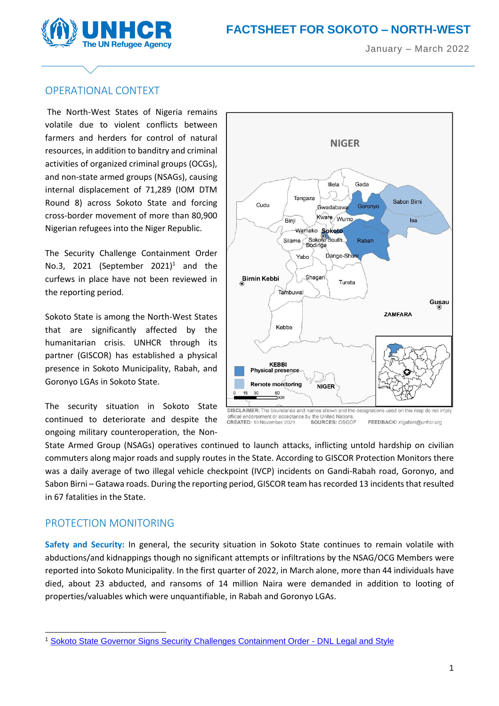



## OPERATIONAL CONTEXT

The North-West States of Nigeria remains volatile due to violent conflicts between farmers and herders for control of natural resources, in addition to banditry and criminal activities of organized criminal groups (OCGs), and non-state armed groups (NSAGs), causing internal displacement of 71,289 (IOM DTM Round 8) across Sokoto State and forcing cross-border movement of more than 80,900 Nigerian refugees into the Niger Republic.

The Security Challenge Containment Order No.3, 2021 (September  $2021$ <sup>1</sup> and the curfews in place have not been reviewed in the reporting period.

Sokoto State is among the North-West States that are significantly affected by the humanitarian crisis. UNHCR through its partner (GISCOR) has established a physical presence in Sokoto Municipality, Rabah, and Goronyo LGAs in Sokoto State.

The security situation in Sokoto State continued to deteriorate and despite the ongoing military counteroperation, the Non-



fficial endorsement or acceptance by the United Nations omcial endorsement or accepta<br>CREATED: 10 November 2021 SOURCES: OSGOF FEEDBACK: nigabim@unhcr.org

State Armed Group (NSAGs) operatives continued to launch attacks, inflicting untold hardship on civilian commuters along major roads and supply routes in the State. According to GISCOR Protection Monitors there was a daily average of two illegal vehicle checkpoint (IVCP) incidents on Gandi-Rabah road, Goronyo, and Sabon Birni – Gatawa roads. During the reporting period, GISCOR team has recorded 13 incidents that resulted in 67 fatalities in the State.

## PROTECTION MONITORING

**Safety and Security:** In general, the security situation in Sokoto State continues to remain volatile with abductions/and kidnappings though no significant attempts or infiltrations by the NSAG/OCG Members were reported into Sokoto Municipality. In the first quarter of 2022, in March alone, more than 44 individuals have died, about 23 abducted, and ransoms of 14 million Naira were demanded in addition to looting of properties/valuables which were unquantifiable, in Rabah and Goronyo LGAs.

<sup>1</sup> [Sokoto State Governor Signs Security Challenges Containment Order -](https://dnllegalandstyle.com/2021/sokoto-state-governor-signs-security-challenges-containment-order/) DNL Legal and Style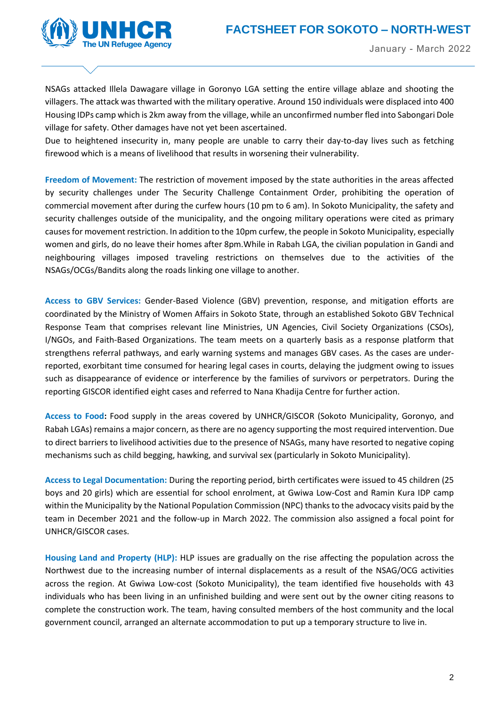

**NIGERIA** January - March 2022

NSAGs attacked Illela Dawagare village in Goronyo LGA setting the entire village ablaze and shooting the villagers. The attack was thwarted with the military operative. Around 150 individuals were displaced into 400 Housing IDPs camp which is 2km away from the village, while an unconfirmed number fled into Sabongari Dole village for safety. Other damages have not yet been ascertained.

Due to heightened insecurity in, many people are unable to carry their day-to-day lives such as fetching firewood which is a means of livelihood that results in worsening their vulnerability.

**Freedom of Movement:** The restriction of movement imposed by the state authorities in the areas affected by security challenges under The Security Challenge Containment Order, prohibiting the operation of commercial movement after during the curfew hours (10 pm to 6 am). In Sokoto Municipality, the safety and security challenges outside of the municipality, and the ongoing military operations were cited as primary causes for movement restriction. In addition to the 10pm curfew, the people in Sokoto Municipality, especially women and girls, do no leave their homes after 8pm.While in Rabah LGA, the civilian population in Gandi and neighbouring villages imposed traveling restrictions on themselves due to the activities of the NSAGs/OCGs/Bandits along the roads linking one village to another.

**Access to GBV Services:** Gender-Based Violence (GBV) prevention, response, and mitigation efforts are coordinated by the Ministry of Women Affairs in Sokoto State, through an established Sokoto GBV Technical Response Team that comprises relevant line Ministries, UN Agencies, Civil Society Organizations (CSOs), I/NGOs, and Faith-Based Organizations. The team meets on a quarterly basis as a response platform that strengthens referral pathways, and early warning systems and manages GBV cases. As the cases are underreported, exorbitant time consumed for hearing legal cases in courts, delaying the judgment owing to issues such as disappearance of evidence or interference by the families of survivors or perpetrators. During the reporting GISCOR identified eight cases and referred to Nana Khadija Centre for further action.

**Access to Food:** Food supply in the areas covered by UNHCR/GISCOR (Sokoto Municipality, Goronyo, and Rabah LGAs) remains a major concern, as there are no agency supporting the most required intervention. Due to direct barriers to livelihood activities due to the presence of NSAGs, many have resorted to negative coping mechanisms such as child begging, hawking, and survival sex (particularly in Sokoto Municipality).

**Access to Legal Documentation:** During the reporting period, birth certificates were issued to 45 children (25 boys and 20 girls) which are essential for school enrolment, at Gwiwa Low-Cost and Ramin Kura IDP camp within the Municipality by the National Population Commission (NPC) thanks to the advocacy visits paid by the team in December 2021 and the follow-up in March 2022. The commission also assigned a focal point for UNHCR/GISCOR cases.

**Housing Land and Property (HLP):** HLP issues are gradually on the rise affecting the population across the Northwest due to the increasing number of internal displacements as a result of the NSAG/OCG activities across the region. At Gwiwa Low-cost (Sokoto Municipality), the team identified five households with 43 individuals who has been living in an unfinished building and were sent out by the owner citing reasons to complete the construction work. The team, having consulted members of the host community and the local government council, arranged an alternate accommodation to put up a temporary structure to live in.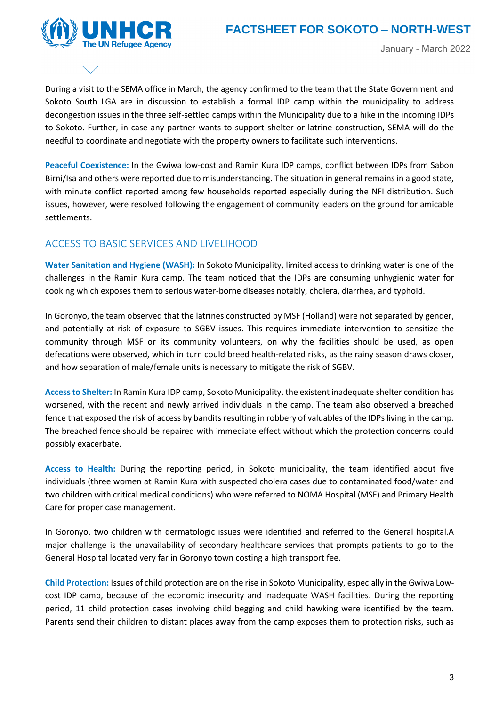

During a visit to the SEMA office in March, the agency confirmed to the team that the State Government and Sokoto South LGA are in discussion to establish a formal IDP camp within the municipality to address decongestion issues in the three self-settled camps within the Municipality due to a hike in the incoming IDPs to Sokoto. Further, in case any partner wants to support shelter or latrine construction, SEMA will do the needful to coordinate and negotiate with the property owners to facilitate such interventions.

**Peaceful Coexistence:** In the Gwiwa low-cost and Ramin Kura IDP camps, conflict between IDPs from Sabon Birni/Isa and others were reported due to misunderstanding. The situation in general remains in a good state, with minute conflict reported among few households reported especially during the NFI distribution. Such issues, however, were resolved following the engagement of community leaders on the ground for amicable settlements.

## ACCESS TO BASIC SERVICES AND LIVELIHOOD

**Water Sanitation and Hygiene (WASH):** In Sokoto Municipality, limited access to drinking water is one of the challenges in the Ramin Kura camp. The team noticed that the IDPs are consuming unhygienic water for cooking which exposes them to serious water-borne diseases notably, cholera, diarrhea, and typhoid.

In Goronyo, the team observed that the latrines constructed by MSF (Holland) were not separated by gender, and potentially at risk of exposure to SGBV issues. This requires immediate intervention to sensitize the community through MSF or its community volunteers, on why the facilities should be used, as open defecations were observed, which in turn could breed health-related risks, as the rainy season draws closer, and how separation of male/female units is necessary to mitigate the risk of SGBV.

**Access to Shelter:** In Ramin Kura IDP camp, Sokoto Municipality, the existent inadequate shelter condition has worsened, with the recent and newly arrived individuals in the camp. The team also observed a breached fence that exposed the risk of access by bandits resulting in robbery of valuables of the IDPs living in the camp. The breached fence should be repaired with immediate effect without which the protection concerns could possibly exacerbate.

**Access to Health:** During the reporting period, in Sokoto municipality, the team identified about five individuals (three women at Ramin Kura with suspected cholera cases due to contaminated food/water and two children with critical medical conditions) who were referred to NOMA Hospital (MSF) and Primary Health Care for proper case management.

In Goronyo, two children with dermatologic issues were identified and referred to the General hospital.A major challenge is the unavailability of secondary healthcare services that prompts patients to go to the General Hospital located very far in Goronyo town costing a high transport fee.

**Child Protection:** Issues of child protection are on the rise in Sokoto Municipality, especially in the Gwiwa Lowcost IDP camp, because of the economic insecurity and inadequate WASH facilities. During the reporting period, 11 child protection cases involving child begging and child hawking were identified by the team. Parents send their children to distant places away from the camp exposes them to protection risks, such as